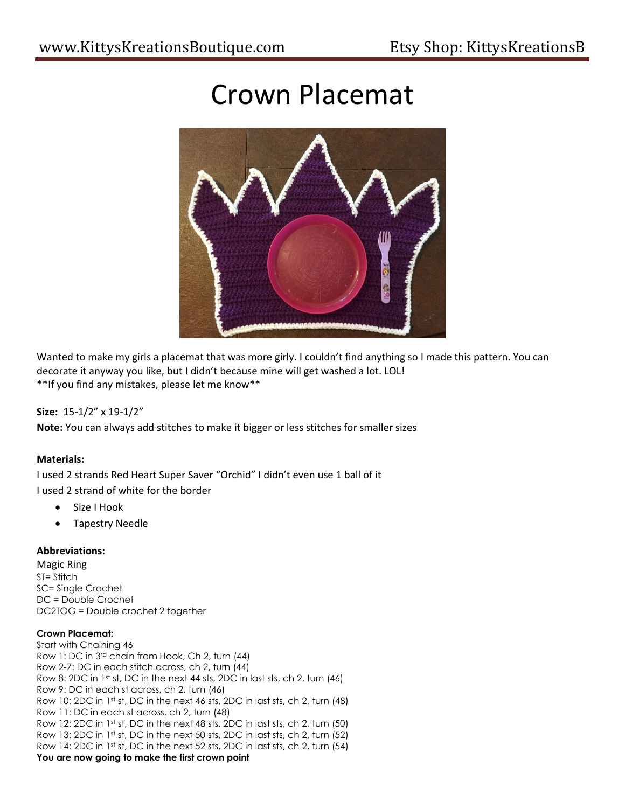# Crown Placemat



Wanted to make my girls a placemat that was more girly. I couldn't find anything so I made this pattern. You can decorate it anyway you like, but I didn't because mine will get washed a lot. LOL! \*\*If you find any mistakes, please let me know\*\*

# **Size:** 15-1/2" x 19-1/2"

**Note:** You can always add stitches to make it bigger or less stitches for smaller sizes

# **Materials:**

I used 2 strands Red Heart Super Saver "Orchid" I didn't even use 1 ball of it I used 2 strand of white for the border

- Size I Hook
- Tapestry Needle

## **Abbreviations:**

Magic Ring ST= Stitch SC= Single Crochet DC = Double Crochet DC2TOG = Double crochet 2 together

# **Crown Placemat:**

Start with Chaining 46 Row 1: DC in 3rd chain from Hook, Ch 2, turn (44) Row 2-7: DC in each stitch across, ch 2, turn (44) Row 8: 2DC in 1st st, DC in the next 44 sts, 2DC in last sts, ch 2, turn (46) Row 9: DC in each st across, ch 2, turn (46) Row 10: 2DC in 1st st, DC in the next 46 sts, 2DC in last sts, ch 2, turn (48) Row 11: DC in each st across, ch 2, turn (48) Row 12: 2DC in 1st st, DC in the next 48 sts, 2DC in last sts, ch 2, turn (50) Row 13: 2DC in 1st st, DC in the next 50 sts, 2DC in last sts, ch 2, turn (52) Row 14: 2DC in 1st st, DC in the next 52 sts, 2DC in last sts, ch 2, turn (54) **You are now going to make the first crown point**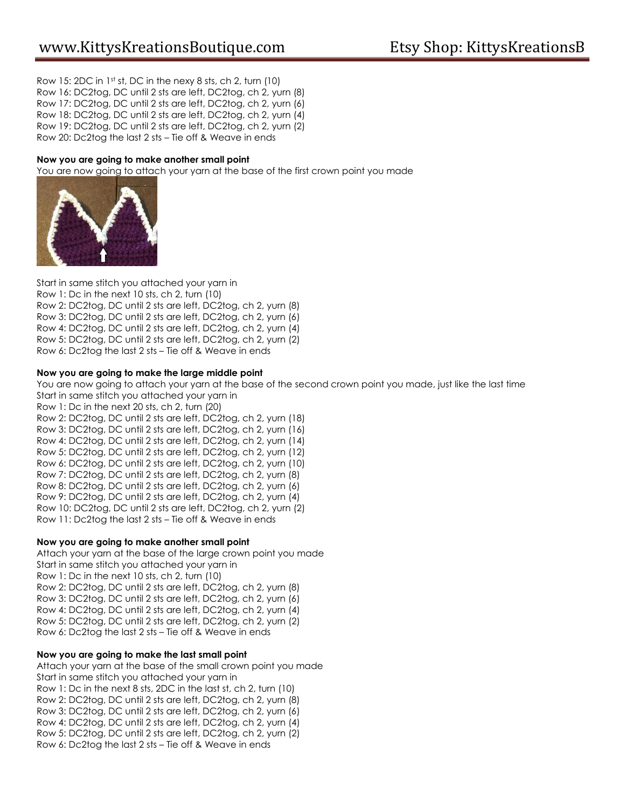Row 15: 2DC in 1st st, DC in the nexy 8 sts, ch 2, turn (10) Row 16: DC2tog, DC until 2 sts are left, DC2tog, ch 2, yurn (8) Row 17: DC2tog, DC until 2 sts are left, DC2tog, ch 2, yurn (6) Row 18: DC2tog, DC until 2 sts are left, DC2tog, ch 2, yurn (4) Row 19: DC2tog, DC until 2 sts are left, DC2tog, ch 2, yurn (2) Row 20: Dc2tog the last 2 sts – Tie off & Weave in ends

## **Now you are going to make another small point**

You are now going to attach your yarn at the base of the first crown point you made



Start in same stitch you attached your yarn in Row 1: Dc in the next 10 sts, ch 2, turn (10) Row 2: DC2tog, DC until 2 sts are left, DC2tog, ch 2, yurn (8) Row 3: DC2tog, DC until 2 sts are left, DC2tog, ch 2, yurn (6) Row 4: DC2tog, DC until 2 sts are left, DC2tog, ch 2, yurn (4) Row 5: DC2tog, DC until 2 sts are left, DC2tog, ch 2, yurn (2) Row 6: Dc2tog the last 2 sts – Tie off & Weave in ends

### **Now you are going to make the large middle point**

You are now going to attach your yarn at the base of the second crown point you made, just like the last time Start in same stitch you attached your yarn in Row 1: Dc in the next 20 sts, ch 2, turn (20) Row 2: DC2tog, DC until 2 sts are left, DC2tog, ch 2, yurn (18) Row 3: DC2tog, DC until 2 sts are left, DC2tog, ch 2, yurn (16) Row 4: DC2tog, DC until 2 sts are left, DC2tog, ch 2, yurn (14) Row 5: DC2tog, DC until 2 sts are left, DC2tog, ch 2, yurn (12) Row 6: DC2tog, DC until 2 sts are left, DC2tog, ch 2, yurn (10) Row 7: DC2tog, DC until 2 sts are left, DC2tog, ch 2, yurn (8) Row 8: DC2tog, DC until 2 sts are left, DC2tog, ch 2, yurn (6) Row 9: DC2tog, DC until 2 sts are left, DC2tog, ch 2, yurn (4) Row 10: DC2tog, DC until 2 sts are left, DC2tog, ch 2, yurn (2) Row 11: Dc2tog the last 2 sts – Tie off & Weave in ends

#### **Now you are going to make another small point**

Attach your yarn at the base of the large crown point you made Start in same stitch you attached your yarn in Row 1: Dc in the next 10 sts, ch 2, turn (10) Row 2: DC2tog, DC until 2 sts are left, DC2tog, ch 2, yurn (8) Row 3: DC2tog, DC until 2 sts are left, DC2tog, ch 2, yurn (6) Row 4: DC2tog, DC until 2 sts are left, DC2tog, ch 2, yurn (4) Row 5: DC2tog, DC until 2 sts are left, DC2tog, ch 2, yurn (2) Row 6: Dc2tog the last 2 sts – Tie off & Weave in ends

#### **Now you are going to make the last small point**

Attach your yarn at the base of the small crown point you made Start in same stitch you attached your yarn in Row 1: Dc in the next 8 sts, 2DC in the last st, ch 2, turn (10) Row 2: DC2tog, DC until 2 sts are left, DC2tog, ch 2, yurn (8) Row 3: DC2tog, DC until 2 sts are left, DC2tog, ch 2, yurn (6) Row 4: DC2tog, DC until 2 sts are left, DC2tog, ch 2, yurn (4) Row 5: DC2tog, DC until 2 sts are left, DC2tog, ch 2, yurn (2) Row 6: Dc2tog the last 2 sts – Tie off & Weave in ends